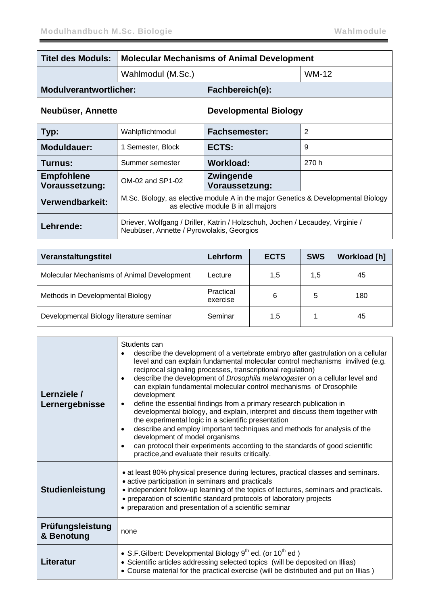| <b>Titel des Moduls:</b>            | <b>Molecular Mechanisms of Animal Development</b>                                                                           |                                        |              |
|-------------------------------------|-----------------------------------------------------------------------------------------------------------------------------|----------------------------------------|--------------|
|                                     | Wahlmodul (M.Sc.)                                                                                                           |                                        | <b>WM-12</b> |
| <b>Modulverantwortlicher:</b>       |                                                                                                                             | Fachbereich(e):                        |              |
| Neubüser, Annette                   |                                                                                                                             | <b>Developmental Biology</b>           |              |
| Typ:                                | Wahlpflichtmodul                                                                                                            | $\overline{2}$<br><b>Fachsemester:</b> |              |
| <b>Moduldauer:</b>                  | 1 Semester, Block                                                                                                           | ECTS:                                  | 9            |
| Turnus:                             | Summer semester                                                                                                             | <b>Workload:</b>                       | 270 h        |
| <b>Empfohlene</b><br>Voraussetzung: | OM-02 and SP1-02                                                                                                            | Zwingende<br>Voraussetzung:            |              |
| Verwendbarkeit:                     | M.Sc. Biology, as elective module A in the major Genetics & Developmental Biology<br>as elective module B in all majors     |                                        |              |
| Lehrende:                           | Driever, Wolfgang / Driller, Katrin / Holzschuh, Jochen / Lecaudey, Virginie /<br>Neubüser, Annette / Pyrowolakis, Georgios |                                        |              |

| Veranstaltungstitel                        | Lehrform              | <b>ECTS</b> | <b>SWS</b> | <b>Workload [h]</b> |
|--------------------------------------------|-----------------------|-------------|------------|---------------------|
| Molecular Mechanisms of Animal Development | Lecture               | 1,5         | 1,5        | 45                  |
| Methods in Developmental Biology           | Practical<br>exercise | 6           | 5          | 180                 |
| Developmental Biology literature seminar   | Seminar               | 1,5         |            | 45                  |

| Lernziele /<br>Lernergebnisse  | Students can<br>describe the development of a vertebrate embryo after gastrulation on a cellular<br>level and can explain fundamental molecular control mechanisms invilved (e.g.<br>reciprocal signaling processes, transcriptional regulation)<br>describe the development of Drosophila melanogaster on a cellular level and<br>$\bullet$<br>can explain fundamental molecular control mechanisms of Drosophile<br>development<br>define the essential findings from a primary research publication in<br>$\bullet$<br>developmental biology, and explain, interpret and discuss them together with<br>the experimental logic in a scientific presentation<br>describe and employ important techniques and methods for analysis of the<br>$\bullet$<br>development of model organisms<br>can protocol their experiments according to the standards of good scientific<br>$\bullet$<br>practice, and evaluate their results critically. |
|--------------------------------|-------------------------------------------------------------------------------------------------------------------------------------------------------------------------------------------------------------------------------------------------------------------------------------------------------------------------------------------------------------------------------------------------------------------------------------------------------------------------------------------------------------------------------------------------------------------------------------------------------------------------------------------------------------------------------------------------------------------------------------------------------------------------------------------------------------------------------------------------------------------------------------------------------------------------------------------|
| <b>Studienleistung</b>         | • at least 80% physical presence during lectures, practical classes and seminars.<br>• active participation in seminars and practicals<br>• independent follow-up learning of the topics of lectures, seminars and practicals.<br>• preparation of scientific standard protocols of laboratory projects<br>• preparation and presentation of a scientific seminar                                                                                                                                                                                                                                                                                                                                                                                                                                                                                                                                                                         |
| Prüfungsleistung<br>& Benotung | none                                                                                                                                                                                                                                                                                                                                                                                                                                                                                                                                                                                                                                                                                                                                                                                                                                                                                                                                      |
| Literatur                      | • S.F. Gilbert: Developmental Biology $9th$ ed. (or $10th$ ed.)<br>• Scientific articles addressing selected topics (will be deposited on Illias)<br>• Course material for the practical exercise (will be distributed and put on Illias)                                                                                                                                                                                                                                                                                                                                                                                                                                                                                                                                                                                                                                                                                                 |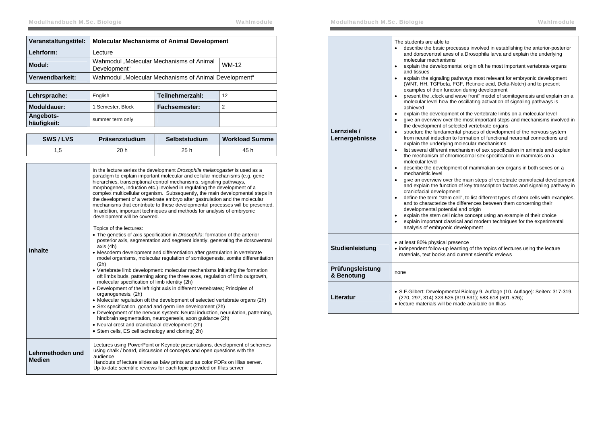| Veranstaltungstitel: | <b>Molecular Mechanisms of Animal Development</b>        |              |
|----------------------|----------------------------------------------------------|--------------|
| Lehrform:            | Lecture                                                  |              |
| Modul:               | Wahmodul "Molecular Mechanisms of Animal<br>Development" | <b>WM-12</b> |
| Verwendbarkeit:      | Wahmodul "Molecular Mechanisms of Animal Development"    |              |

| Lehrsprache:             | English           | Teilnehmerzahl: | 12 |
|--------------------------|-------------------|-----------------|----|
| Moduldauer:              | 1 Semester, Block | Fachsemester:   |    |
| Angebots-<br>häufigkeit: | summer term only  |                 |    |

| SWS/LVS | Präsenzstudium | Selbststudium | <b>Workload Summe</b> |
|---------|----------------|---------------|-----------------------|
|         | 20 h           | 25 h          | 45 h                  |

|                  | In the lecture series the development Drosophila melanogaster is used as a<br>paradigm to explain important molecular and cellular mechanisms (e.g. gene<br>hierarchies, transcriptional control mechanisms, signaling pathways,<br>morphogenes, induction etc.) involved in regulating the development of a<br>complex multicellular organism. Subsequently, the main developmental steps in<br>the development of a vertebrate embryo after gastrulation and the molecular<br>mechanisms that contribute to these developmental processes will be presented.<br>In addition, important techniques and methods for analysis of embryonic<br>development will be covered. |
|------------------|---------------------------------------------------------------------------------------------------------------------------------------------------------------------------------------------------------------------------------------------------------------------------------------------------------------------------------------------------------------------------------------------------------------------------------------------------------------------------------------------------------------------------------------------------------------------------------------------------------------------------------------------------------------------------|
|                  | Topics of the lectures:<br>• The genetics of axis specification in Drosophila: formation of the anterior<br>posterior axis, segmentation and segment identiy, generating the dorsoventral<br>axis (4h)                                                                                                                                                                                                                                                                                                                                                                                                                                                                    |
| <b>Inhalte</b>   | • Mesoderm development and differentiation after gastrulation in vertebrate<br>model organisms, molecular regulation of somitogenesis, somite differentiation<br>(2h)<br>• Vertebrate limb development: molecular mechanisms initiating the formation                                                                                                                                                                                                                                                                                                                                                                                                                     |
|                  | oft limbs buds, patterning along the three axes, regulation of limb outgrowth,<br>molecular specification of limb identity (2h)<br>• Development of the left right axis in different vertebrates; Principles of                                                                                                                                                                                                                                                                                                                                                                                                                                                           |
|                  | organogenesis, (2h)                                                                                                                                                                                                                                                                                                                                                                                                                                                                                                                                                                                                                                                       |
|                  | • Molecular regulation oft the development of selected vertebrate organs (2h)<br>• Sex specification, gonad and germ line development (2h)                                                                                                                                                                                                                                                                                                                                                                                                                                                                                                                                |
|                  | • Development of the nervous system: Neural induction, neurulation, patterning,<br>hindbrain segmentation, neurogenesis, axon guidance (2h)                                                                                                                                                                                                                                                                                                                                                                                                                                                                                                                               |
|                  | • Neural crest and craniofacial development (2h)                                                                                                                                                                                                                                                                                                                                                                                                                                                                                                                                                                                                                          |
|                  | • Stem cells, ES cell technology and cloning (2h)                                                                                                                                                                                                                                                                                                                                                                                                                                                                                                                                                                                                                         |
| Lehrmethoden und | Lectures using PowerPoint or Keynote presentations, development of schemes<br>using chalk / board, discussion of concepts and open questions with the<br>audience                                                                                                                                                                                                                                                                                                                                                                                                                                                                                                         |
| <b>Medien</b>    | Handouts of lecture slides as b&w prints and as color PDFs on Illias server.<br>Up-to-date scientific reviews for each topic provided on Illias server                                                                                                                                                                                                                                                                                                                                                                                                                                                                                                                    |

| Lernziele /<br>Lernergebnisse  | The students are able to<br>$\bullet$<br>describe the basic processes involved in establishing the anterior-posterior<br>and dorsoventral axes of a Drosophila larva and explain the underlying<br>molecular mechanisms<br>explain the developmental origin oft he most important vertebrate organs<br>٠<br>and tissues<br>explain the signaling pathways most relevant for embryonic development<br>$\bullet$<br>(WNT, HH, TGFbeta, FGF, Retinoic acid, Delta-Notch) and to present<br>examples of their function during development<br>present the "clock and wave front" model of somitogenesis and explain on a<br>$\bullet$<br>molecular level how the oscillating activation of signaling pathways is<br>achieved<br>explain the development of the vertebrate limbs on a molecular level<br>٠<br>give an overview over the most important steps and mechanisms involved in<br>٠<br>the development of selected vertebrate organs<br>structure the fundamental phases of development of the nervous system<br>$\bullet$<br>from neural induction to formation of functional neuronal connections and<br>explain the underlying molecular mechanisms<br>list several different mechanism of sex specification in animals and explain<br>$\bullet$<br>the mechanism of chromosomal sex specification in mammals on a<br>molecular level<br>describe the development of mammalian sex organs in both sexes on a<br>$\bullet$<br>mechanistic level<br>give an overview over the main steps of vertebrate craniofacial development<br>$\bullet$<br>and explain the function of key transcription factors and signaling pathway in<br>craniofacial development<br>define the term "stem cell", to list different types of stem cells with examples,<br>$\bullet$<br>and to characterize the differences between them concerning their<br>developmental potential and origin<br>explain the stem cell niche concept using an example of their choice<br>$\bullet$<br>explain important classical and modern techniques for the experimental<br>$\bullet$<br>analysis of embryonic development |
|--------------------------------|----------------------------------------------------------------------------------------------------------------------------------------------------------------------------------------------------------------------------------------------------------------------------------------------------------------------------------------------------------------------------------------------------------------------------------------------------------------------------------------------------------------------------------------------------------------------------------------------------------------------------------------------------------------------------------------------------------------------------------------------------------------------------------------------------------------------------------------------------------------------------------------------------------------------------------------------------------------------------------------------------------------------------------------------------------------------------------------------------------------------------------------------------------------------------------------------------------------------------------------------------------------------------------------------------------------------------------------------------------------------------------------------------------------------------------------------------------------------------------------------------------------------------------------------------------------------------------------------------------------------------------------------------------------------------------------------------------------------------------------------------------------------------------------------------------------------------------------------------------------------------------------------------------------------------------------------------------------------------------------------------------------------------------------------------------------------------------------------|
| Studienleistung                | • at least 80% physical presence<br>• independent follow-up learning of the topics of lectures using the lecture<br>materials, text books and current scientific reviews                                                                                                                                                                                                                                                                                                                                                                                                                                                                                                                                                                                                                                                                                                                                                                                                                                                                                                                                                                                                                                                                                                                                                                                                                                                                                                                                                                                                                                                                                                                                                                                                                                                                                                                                                                                                                                                                                                                     |
| Prüfungsleistung<br>& Benotung | none                                                                                                                                                                                                                                                                                                                                                                                                                                                                                                                                                                                                                                                                                                                                                                                                                                                                                                                                                                                                                                                                                                                                                                                                                                                                                                                                                                                                                                                                                                                                                                                                                                                                                                                                                                                                                                                                                                                                                                                                                                                                                         |
| Literatur                      | • S.F. Gilbert: Developmental Biology 9. Auflage (10. Auflage): Seiten: 317-319,<br>(270, 297, 314) 323-525 (319-531); 583-618 (591-526);<br>• lecture materials will be made available on Illias                                                                                                                                                                                                                                                                                                                                                                                                                                                                                                                                                                                                                                                                                                                                                                                                                                                                                                                                                                                                                                                                                                                                                                                                                                                                                                                                                                                                                                                                                                                                                                                                                                                                                                                                                                                                                                                                                            |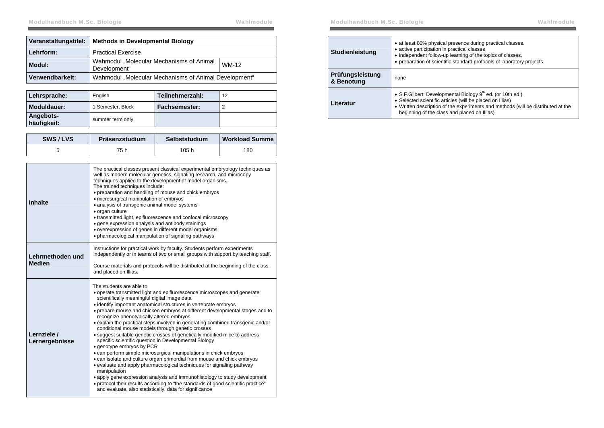| Veranstaltungstitel: | <b>Methods in Developmental Biology</b>                  |       |
|----------------------|----------------------------------------------------------|-------|
| Lehrform:            | <b>Practical Exercise</b>                                |       |
| Modul:               | Wahmodul "Molecular Mechanisms of Animal<br>Development" | WM-12 |
| Verwendbarkeit:      | Wahmodul "Molecular Mechanisms of Animal Development"    |       |

| Lehrsprache:             | English           | Teilnehmerzahl:      | 12 |
|--------------------------|-------------------|----------------------|----|
| Moduldauer:              | 1 Semester, Block | <b>Fachsemester:</b> |    |
| Angebots-<br>häufigkeit: | summer term only  |                      |    |

| SWS/LVS | Präsenzstudium | Selbststudium | <b>Workload Summe</b> |
|---------|----------------|---------------|-----------------------|
|         | 75 h           | 105h          | 180                   |

| Inhalte                           | The practical classes present classical experimental embryology techniques as<br>well as modern molecular genetics, signaling research, and microcopy<br>techniques applied to the development of model organisms.<br>The trained techniques include:<br>• preparation and handling of mouse and chick embryos<br>· microsurgical manipulation of embryos<br>• analysis of transgenic animal model systems<br>· organ culture<br>• transmitted light, epifluorescence and confocal microscopy<br>• gene expression analysis and antibody stainings<br>• overexpression of genes in different model organisms<br>. pharmacological manipulation of signaling pathways                                                                                                                                                                                                                                                                                                                                                                                                                                                                  |
|-----------------------------------|---------------------------------------------------------------------------------------------------------------------------------------------------------------------------------------------------------------------------------------------------------------------------------------------------------------------------------------------------------------------------------------------------------------------------------------------------------------------------------------------------------------------------------------------------------------------------------------------------------------------------------------------------------------------------------------------------------------------------------------------------------------------------------------------------------------------------------------------------------------------------------------------------------------------------------------------------------------------------------------------------------------------------------------------------------------------------------------------------------------------------------------|
| Lehrmethoden und<br><b>Medien</b> | Instructions for practical work by faculty. Students perform experiments<br>independently or in teams of two or small groups with support by teaching staff.<br>Course materials and protocols will be distributed at the beginning of the class<br>and placed on Illias.                                                                                                                                                                                                                                                                                                                                                                                                                                                                                                                                                                                                                                                                                                                                                                                                                                                             |
| Lernziele /<br>Lernergebnisse     | The students are able to<br>• operate transmitted light and epifluorescence microscopes and generate<br>scientifically meaningful digital image data<br>• identify important anatomical structures in vertebrate embryos<br>• prepare mouse and chicken embryos at different developmental stages and to<br>recognize phenotypically altered embryos<br>• explain the practical steps involved in generating combined transgenic and/or<br>conditional mouse models through genetic crosses<br>• suggest suitable genetic crosses of genetically modified mice to address<br>specific scientific question in Developmental Biology<br>• genotype embryos by PCR<br>• can perform simple microsurgical manipulations in chick embryos<br>• can isolate and culture organ primordial from mouse and chick embryos<br>• evaluate and apply pharmacological techniques for signaling pathway<br>manipulation<br>• apply gene expression analysis and immunohistology to study development<br>• protocol their results according to "the standards of good scientific practice"<br>and evaluate, also statistically, data for significance |

| Studienleistung                | • at least 80% physical presence during practical classes.<br>• active participation in practical classes<br>• independent follow-up learning of the topics of classes.<br>• preparation of scientific standard protocols of laboratory projects               |  |
|--------------------------------|----------------------------------------------------------------------------------------------------------------------------------------------------------------------------------------------------------------------------------------------------------------|--|
| Prüfungsleistung<br>& Benotung | none                                                                                                                                                                                                                                                           |  |
| Literatur                      | • S.F. Gilbert: Developmental Biology $9th$ ed. (or 10th ed.)<br>• Selected scientific articles (will be placed on Illias)<br>• Written description of the experiments and methods (will be distributed at the<br>beginning of the class and placed on Illias) |  |